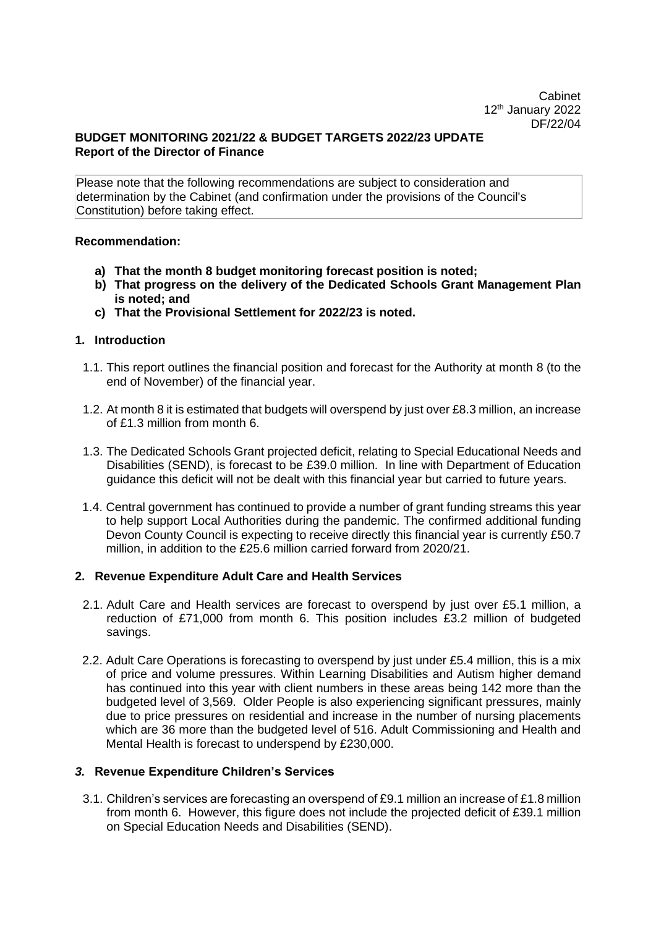### **BUDGET MONITORING 2021/22 & BUDGET TARGETS 2022/23 UPDATE Report of the Director of Finance**

Please note that the following recommendations are subject to consideration and determination by the Cabinet (and confirmation under the provisions of the Council's Constitution) before taking effect.

#### **Recommendation:**

- **a) That the month 8 budget monitoring forecast position is noted;**
- **b) That progress on the delivery of the Dedicated Schools Grant Management Plan is noted; and**
- **c) That the Provisional Settlement for 2022/23 is noted.**

#### **1. Introduction**

- 1.1. This report outlines the financial position and forecast for the Authority at month 8 (to the end of November) of the financial year.
- 1.2. At month 8 it is estimated that budgets will overspend by just over £8.3 million, an increase of £1.3 million from month 6.
- 1.3. The Dedicated Schools Grant projected deficit, relating to Special Educational Needs and Disabilities (SEND), is forecast to be £39.0 million. In line with Department of Education guidance this deficit will not be dealt with this financial year but carried to future years.
- 1.4. Central government has continued to provide a number of grant funding streams this year to help support Local Authorities during the pandemic. The confirmed additional funding Devon County Council is expecting to receive directly this financial year is currently £50.7 million, in addition to the £25.6 million carried forward from 2020/21.

### **2. Revenue Expenditure Adult Care and Health Services**

- 2.1. Adult Care and Health services are forecast to overspend by just over £5.1 million, a reduction of £71,000 from month 6. This position includes £3.2 million of budgeted savings.
- 2.2. Adult Care Operations is forecasting to overspend by just under £5.4 million, this is a mix of price and volume pressures. Within Learning Disabilities and Autism higher demand has continued into this year with client numbers in these areas being 142 more than the budgeted level of 3,569. Older People is also experiencing significant pressures, mainly due to price pressures on residential and increase in the number of nursing placements which are 36 more than the budgeted level of 516. Adult Commissioning and Health and Mental Health is forecast to underspend by £230,000.

### *3.* **Revenue Expenditure Children's Services**

3.1. Children's services are forecasting an overspend of £9.1 million an increase of £1.8 million from month 6. However, this figure does not include the projected deficit of £39.1 million on Special Education Needs and Disabilities (SEND).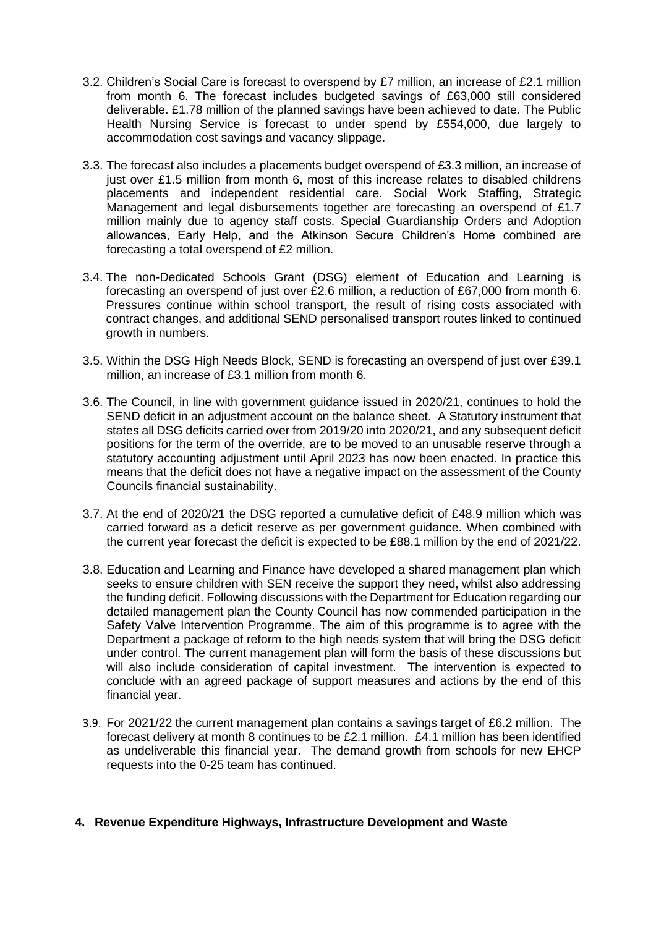- 3.2. Children's Social Care is forecast to overspend by £7 million, an increase of £2.1 million from month 6. The forecast includes budgeted savings of £63,000 still considered deliverable. £1.78 million of the planned savings have been achieved to date. The Public Health Nursing Service is forecast to under spend by £554,000, due largely to accommodation cost savings and vacancy slippage.
- 3.3. The forecast also includes a placements budget overspend of £3.3 million, an increase of just over £1.5 million from month 6, most of this increase relates to disabled childrens placements and independent residential care. Social Work Staffing, Strategic Management and legal disbursements together are forecasting an overspend of £1.7 million mainly due to agency staff costs. Special Guardianship Orders and Adoption allowances, Early Help, and the Atkinson Secure Children's Home combined are forecasting a total overspend of £2 million.
- 3.4. The non-Dedicated Schools Grant (DSG) element of Education and Learning is forecasting an overspend of just over £2.6 million, a reduction of £67,000 from month 6. Pressures continue within school transport, the result of rising costs associated with contract changes, and additional SEND personalised transport routes linked to continued growth in numbers.
- 3.5. Within the DSG High Needs Block, SEND is forecasting an overspend of just over £39.1 million, an increase of £3.1 million from month 6.
- 3.6. The Council, in line with government guidance issued in 2020/21, continues to hold the SEND deficit in an adjustment account on the balance sheet. A Statutory instrument that states all DSG deficits carried over from 2019/20 into 2020/21, and any subsequent deficit positions for the term of the override, are to be moved to an unusable reserve through a statutory accounting adjustment until April 2023 has now been enacted. In practice this means that the deficit does not have a negative impact on the assessment of the County Councils financial sustainability.
- 3.7. At the end of 2020/21 the DSG reported a cumulative deficit of £48.9 million which was carried forward as a deficit reserve as per government guidance. When combined with the current year forecast the deficit is expected to be £88.1 million by the end of 2021/22.
- 3.8. Education and Learning and Finance have developed a shared management plan which seeks to ensure children with SEN receive the support they need, whilst also addressing the funding deficit. Following discussions with the Department for Education regarding our detailed management plan the County Council has now commended participation in the Safety Valve Intervention Programme. The aim of this programme is to agree with the Department a package of reform to the high needs system that will bring the DSG deficit under control. The current management plan will form the basis of these discussions but will also include consideration of capital investment. The intervention is expected to conclude with an agreed package of support measures and actions by the end of this financial year.
- 3.9. For 2021/22 the current management plan contains a savings target of £6.2 million. The forecast delivery at month 8 continues to be £2.1 million. £4.1 million has been identified as undeliverable this financial year. The demand growth from schools for new EHCP requests into the 0-25 team has continued.

### **4. Revenue Expenditure Highways, Infrastructure Development and Waste**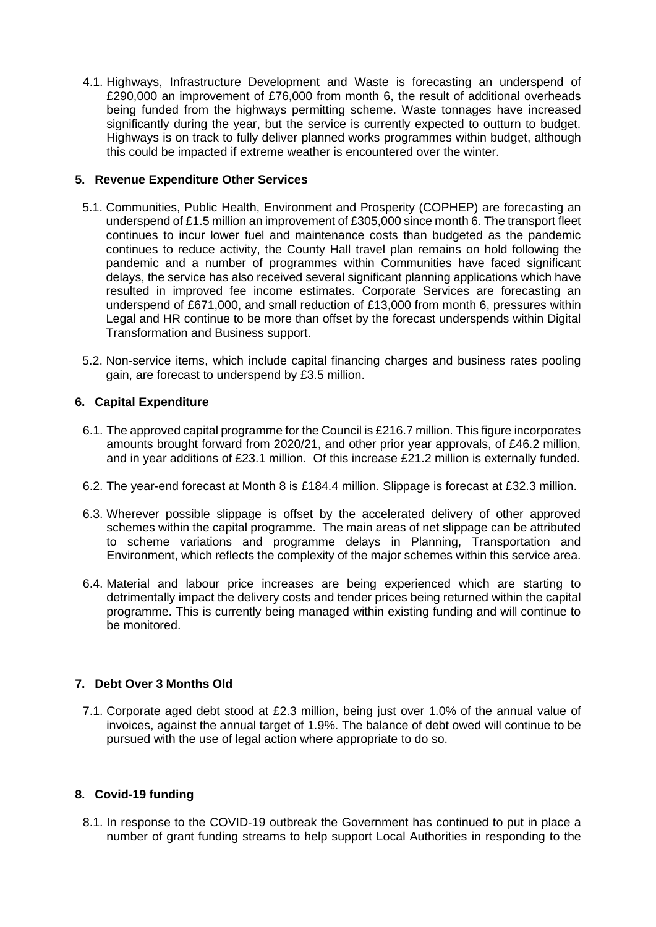4.1. Highways, Infrastructure Development and Waste is forecasting an underspend of £290,000 an improvement of £76,000 from month 6, the result of additional overheads being funded from the highways permitting scheme. Waste tonnages have increased significantly during the year, but the service is currently expected to outturn to budget. Highways is on track to fully deliver planned works programmes within budget, although this could be impacted if extreme weather is encountered over the winter.

## **5. Revenue Expenditure Other Services**

- 5.1. Communities, Public Health, Environment and Prosperity (COPHEP) are forecasting an underspend of £1.5 million an improvement of £305,000 since month 6. The transport fleet continues to incur lower fuel and maintenance costs than budgeted as the pandemic continues to reduce activity, the County Hall travel plan remains on hold following the pandemic and a number of programmes within Communities have faced significant delays, the service has also received several significant planning applications which have resulted in improved fee income estimates. Corporate Services are forecasting an underspend of £671,000, and small reduction of £13,000 from month 6, pressures within Legal and HR continue to be more than offset by the forecast underspends within Digital Transformation and Business support.
- 5.2. Non-service items, which include capital financing charges and business rates pooling gain, are forecast to underspend by £3.5 million.

# **6. Capital Expenditure**

- 6.1. The approved capital programme for the Council is £216.7 million. This figure incorporates amounts brought forward from 2020/21, and other prior year approvals, of £46.2 million, and in year additions of £23.1 million. Of this increase £21.2 million is externally funded.
- 6.2. The year-end forecast at Month 8 is £184.4 million. Slippage is forecast at £32.3 million.
- 6.3. Wherever possible slippage is offset by the accelerated delivery of other approved schemes within the capital programme. The main areas of net slippage can be attributed to scheme variations and programme delays in Planning, Transportation and Environment, which reflects the complexity of the major schemes within this service area.
- 6.4. Material and labour price increases are being experienced which are starting to detrimentally impact the delivery costs and tender prices being returned within the capital programme. This is currently being managed within existing funding and will continue to be monitored.

# **7. Debt Over 3 Months Old**

7.1. Corporate aged debt stood at £2.3 million, being just over 1.0% of the annual value of invoices, against the annual target of 1.9%. The balance of debt owed will continue to be pursued with the use of legal action where appropriate to do so.

# **8. Covid-19 funding**

8.1. In response to the COVID-19 outbreak the Government has continued to put in place a number of grant funding streams to help support Local Authorities in responding to the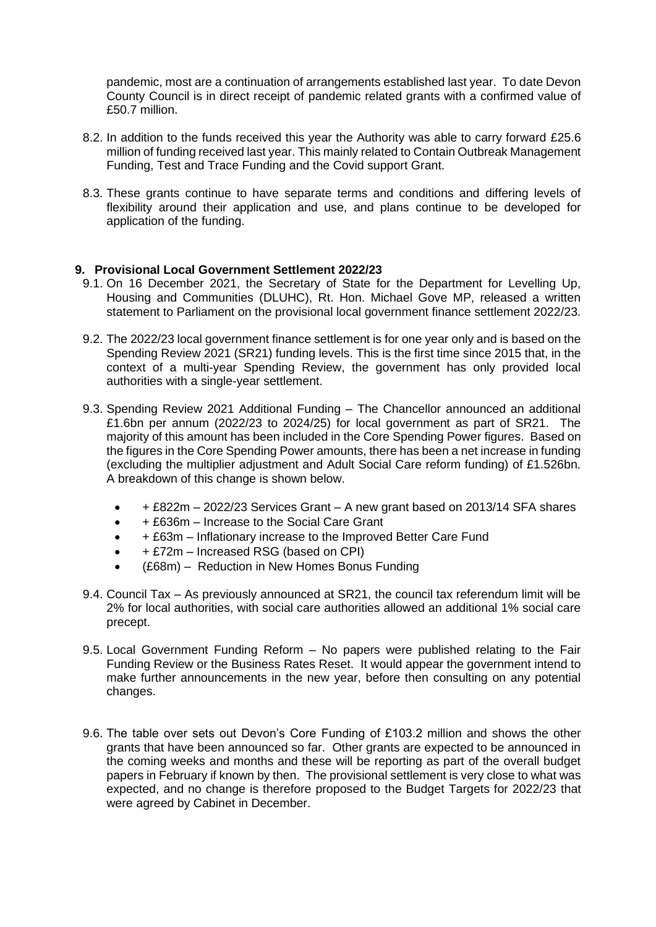pandemic, most are a continuation of arrangements established last year. To date Devon County Council is in direct receipt of pandemic related grants with a confirmed value of £50.7 million.

- 8.2. In addition to the funds received this year the Authority was able to carry forward £25.6 million of funding received last year. This mainly related to Contain Outbreak Management Funding, Test and Trace Funding and the Covid support Grant.
- 8.3. These grants continue to have separate terms and conditions and differing levels of flexibility around their application and use, and plans continue to be developed for application of the funding.

### **9. Provisional Local Government Settlement 2022/23**

- 9.1. On 16 December 2021, the Secretary of State for the Department for Levelling Up, Housing and Communities (DLUHC), Rt. Hon. Michael Gove MP, released a written statement to Parliament on the provisional local government finance settlement 2022/23.
- 9.2. The 2022/23 local government finance settlement is for one year only and is based on the Spending Review 2021 (SR21) funding levels. This is the first time since 2015 that, in the context of a multi-year Spending Review, the government has only provided local authorities with a single-year settlement.
- 9.3. Spending Review 2021 Additional Funding The Chancellor announced an additional £1.6bn per annum (2022/23 to 2024/25) for local government as part of SR21. The majority of this amount has been included in the Core Spending Power figures. Based on the figures in the Core Spending Power amounts, there has been a net increase in funding (excluding the multiplier adjustment and Adult Social Care reform funding) of £1.526bn. A breakdown of this change is shown below.
	- + £822m 2022/23 Services Grant A new grant based on 2013/14 SFA shares
	- + £636m Increase to the Social Care Grant
	- + £63m Inflationary increase to the Improved Better Care Fund
	- + £72m Increased RSG (based on CPI)
	- (£68m) Reduction in New Homes Bonus Funding
- 9.4. Council Tax As previously announced at SR21, the council tax referendum limit will be 2% for local authorities, with social care authorities allowed an additional 1% social care precept.
- 9.5. Local Government Funding Reform No papers were published relating to the Fair Funding Review or the Business Rates Reset. It would appear the government intend to make further announcements in the new year, before then consulting on any potential changes.
- 9.6. The table over sets out Devon's Core Funding of £103.2 million and shows the other grants that have been announced so far. Other grants are expected to be announced in the coming weeks and months and these will be reporting as part of the overall budget papers in February if known by then. The provisional settlement is very close to what was expected, and no change is therefore proposed to the Budget Targets for 2022/23 that were agreed by Cabinet in December.